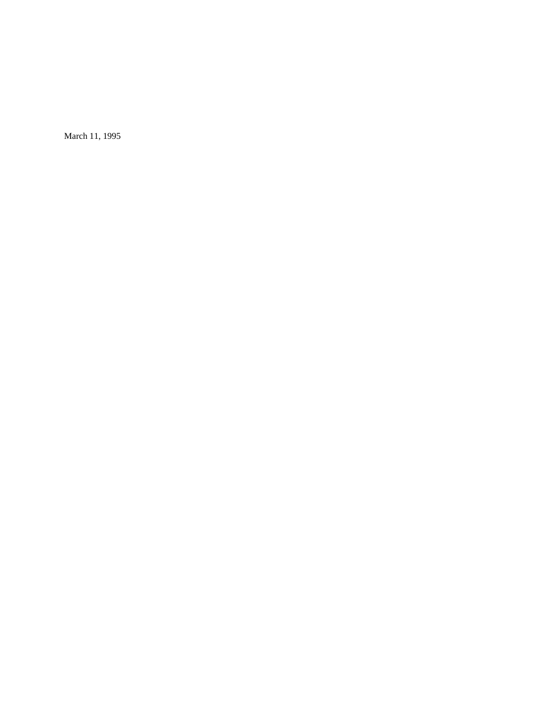March 11, 1995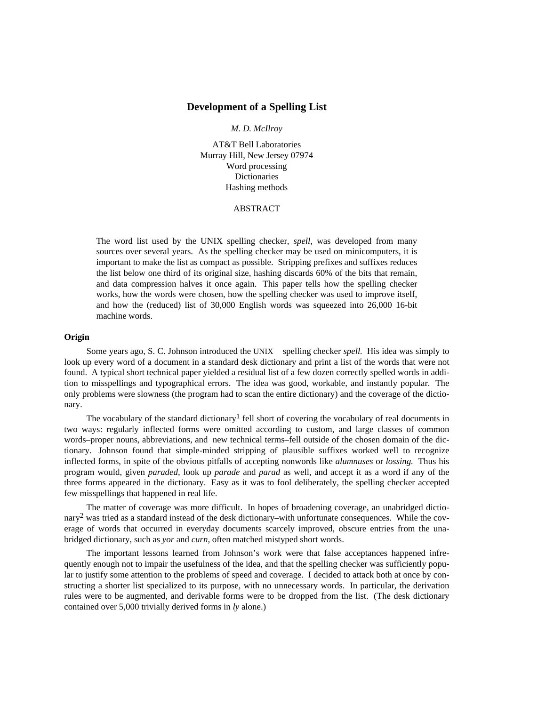# **Development of a Spelling List**

## *M. D. McIlroy*

AT&T Bell Laboratories Murray Hill, New Jersey 07974 Word processing Dictionaries Hashing methods

### ABSTRACT

The word list used by the UNIX spelling checker, *spell,* was developed from many sources over several years. As the spelling checker may be used on minicomputers, it is important to make the list as compact as possible. Stripping prefixes and suffixes reduces the list below one third of its original size, hashing discards 60% of the bits that remain, and data compression halves it once again. This paper tells how the spelling checker works, how the words were chosen, how the spelling checker was used to improve itself, and how the (reduced) list of 30,000 English words was squeezed into 26,000 16-bit machine words.

# **Origin**

Some years ago, S. C. Johnson introduced the UNIX® spelling checker *spell*. His idea was simply to look up every word of a document in a standard desk dictionary and print a list of the words that were not found. A typical short technical paper yielded a residual list of a few dozen correctly spelled words in addition to misspellings and typographical errors. The idea was good, workable, and instantly popular. The only problems were slowness (the program had to scan the entire dictionary) and the coverage of the dictionary.

The vocabulary of the standard dictionary<sup>1</sup> fell short of covering the vocabulary of real documents in two ways: regularly inflected forms were omitted according to custom, and large classes of common words–proper nouns, abbreviations, and new technical terms–fell outside of the chosen domain of the dictionary. Johnson found that simple-minded stripping of plausible suffixes worked well to recognize inflected forms, in spite of the obvious pitfalls of accepting nonwords like *alumnuses* or *lossing.* Thus his program would, given *paraded,* look up *parade* and *parad* as well, and accept it as a word if any of the three forms appeared in the dictionary. Easy as it was to fool deliberately, the spelling checker accepted few misspellings that happened in real life.

The matter of coverage was more difficult. In hopes of broadening coverage, an unabridged dictionary<sup>2</sup> was tried as a standard instead of the desk dictionary–with unfortunate consequences. While the coverage of words that occurred in everyday documents scarcely improved, obscure entries from the unabridged dictionary, such as *yor* and *curn,* often matched mistyped short words.

The important lessons learned from Johnson's work were that false acceptances happened infrequently enough not to impair the usefulness of the idea, and that the spelling checker was sufficiently popular to justify some attention to the problems of speed and coverage. I decided to attack both at once by constructing a shorter list specialized to its purpose, with no unnecessary words. In particular, the derivation rules were to be augmented, and derivable forms were to be dropped from the list. (The desk dictionary contained over 5,000 trivially derived forms in *ly* alone.)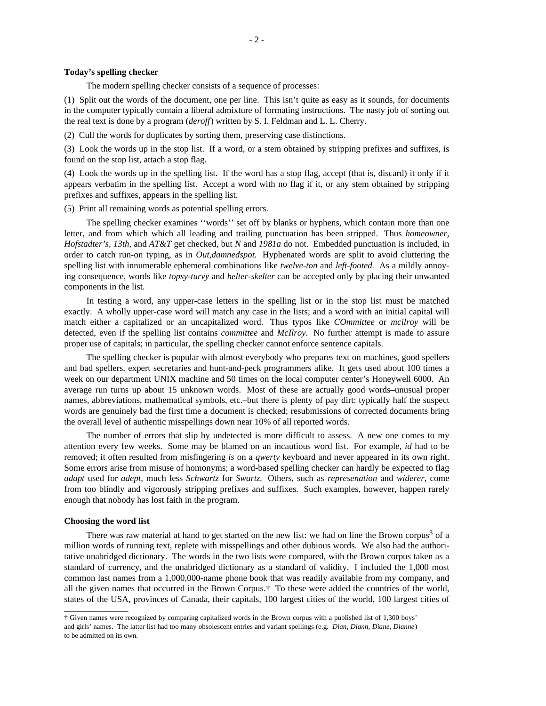# **Today's spelling checker**

The modern spelling checker consists of a sequence of processes:

(1) Split out the words of the document, one per line. This isn't quite as easy as it sounds, for documents in the computer typically contain a liberal admixture of formating instructions. The nasty job of sorting out the real text is done by a program (*deroff*) written by S. I. Feldman and L. L. Cherry.

(2) Cull the words for duplicates by sorting them, preserving case distinctions.

(3) Look the words up in the stop list. If a word, or a stem obtained by stripping prefixes and suffixes, is found on the stop list, attach a stop flag.

(4) Look the words up in the spelling list. If the word has a stop flag, accept (that is, discard) it only if it appears verbatim in the spelling list. Accept a word with no flag if it, or any stem obtained by stripping prefixes and suffixes, appears in the spelling list.

(5) Print all remaining words as potential spelling errors.

The spelling checker examines ''words'' set off by blanks or hyphens, which contain more than one letter, and from which which all leading and trailing punctuation has been stripped. Thus *homeowner, Hofstadter's, 13th,* and *AT&T* get checked, but *N* and *1981a* do not. Embedded punctuation is included, in order to catch run-on typing, as in *Out,damnedspot.* Hyphenated words are split to avoid cluttering the spelling list with innumerable ephemeral combinations like *twelve-ton* and *left-footed.* As a mildly annoying consequence, words like *topsy-turvy* and *helter-skelter* can be accepted only by placing their unwanted components in the list.

In testing a word, any upper-case letters in the spelling list or in the stop list must be matched exactly. A wholly upper-case word will match any case in the lists; and a word with an initial capital will match either a capitalized or an uncapitalized word. Thus typos like *COmmittee* or *mcilroy* will be detected, even if the spelling list contains *committee* and *McIlroy.* No further attempt is made to assure proper use of capitals; in particular, the spelling checker cannot enforce sentence capitals.

The spelling checker is popular with almost everybody who prepares text on machines, good spellers and bad spellers, expert secretaries and hunt-and-peck programmers alike. It gets used about 100 times a week on our department UNIX machine and 50 times on the local computer center's Honeywell 6000. An average run turns up about 15 unknown words. Most of these are actually good words–unusual proper names, abbreviations, mathematical symbols, etc.–but there is plenty of pay dirt: typically half the suspect words are genuinely bad the first time a document is checked; resubmissions of corrected documents bring the overall level of authentic misspellings down near 10% of all reported words.

The number of errors that slip by undetected is more difficult to assess. A new one comes to my attention every few weeks. Some may be blamed on an incautious word list. For example, *id* had to be removed; it often resulted from misfingering *is* on a *qwerty* keyboard and never appeared in its own right. Some errors arise from misuse of homonyms; a word-based spelling checker can hardly be expected to flag *adapt* used for *adept,* much less *Schwartz* for *Swartz.* Others, such as *represenation* and *widerer,* come from too blindly and vigorously stripping prefixes and suffixes. Such examples, however, happen rarely enough that nobody has lost faith in the program.

### **Choosing the word list**

 $\_$ 

There was raw material at hand to get started on the new list: we had on line the Brown corpus<sup>3</sup> of a million words of running text, replete with misspellings and other dubious words. We also had the authoritative unabridged dictionary. The words in the two lists were compared, with the Brown corpus taken as a standard of currency, and the unabridged dictionary as a standard of validity. I included the 1,000 most common last names from a 1,000,000-name phone book that was readily available from my company, and all the given names that occurred in the Brown Corpus.† To these were added the countries of the world, states of the USA, provinces of Canada, their capitals, 100 largest cities of the world, 100 largest cities of

<sup>†</sup> Given names were recognized by comparing capitalized words in the Brown corpus with a published list of 1,300 boys' and girls' names. The latter list had too many obsolescent entries and variant spellings (e.g. *Dian, Diann, Diane, Dianne*) to be admitted on its own.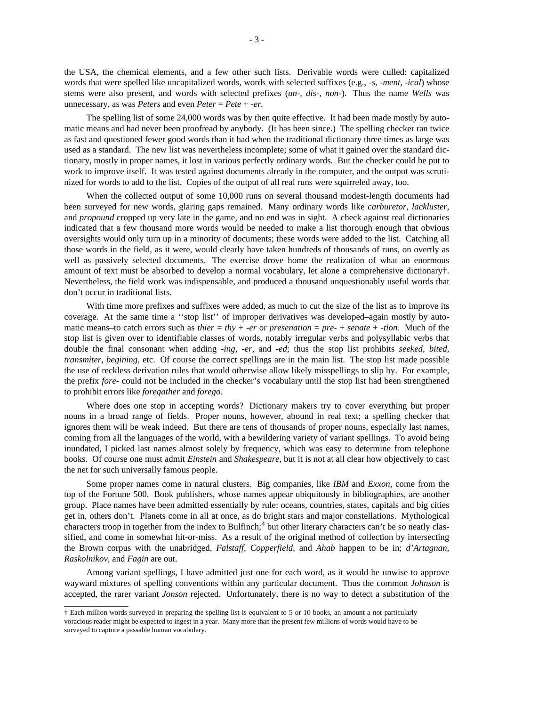the USA, the chemical elements, and a few other such lists. Derivable words were culled: capitalized words that were spelled like uncapitalized words, words with selected suffixes (e.g., *-s, -ment, -ical*) whose stems were also present, and words with selected prefixes (*un-, dis-, non-*). Thus the name *Wells* was unnecessary, as was *Peters* and even *Peter* = *Pete* + *-er.*

The spelling list of some 24,000 words was by then quite effective. It had been made mostly by automatic means and had never been proofread by anybody. (It has been since.) The spelling checker ran twice as fast and questioned fewer good words than it had when the traditional dictionary three times as large was used as a standard. The new list was nevertheless incomplete; some of what it gained over the standard dictionary, mostly in proper names, it lost in various perfectly ordinary words. But the checker could be put to work to improve itself. It was tested against documents already in the computer, and the output was scrutinized for words to add to the list. Copies of the output of all real runs were squirreled away, too.

When the collected output of some 10,000 runs on several thousand modest-length documents had been surveyed for new words, glaring gaps remained. Many ordinary words like *carburetor, lackluster,* and *propound* cropped up very late in the game, and no end was in sight. A check against real dictionaries indicated that a few thousand more words would be needed to make a list thorough enough that obvious oversights would only turn up in a minority of documents; these words were added to the list. Catching all those words in the field, as it were, would clearly have taken hundreds of thousands of runs, on overtly as well as passively selected documents. The exercise drove home the realization of what an enormous amount of text must be absorbed to develop a normal vocabulary, let alone a comprehensive dictionary†. Nevertheless, the field work was indispensable, and produced a thousand unquestionably useful words that don't occur in traditional lists.

With time more prefixes and suffixes were added, as much to cut the size of the list as to improve its coverage. At the same time a ''stop list'' of improper derivatives was developed–again mostly by automatic means–to catch errors such as *thier* = *thy* + *-er* or *presenation* = *pre-* + *senate* + *-tion.* Much of the stop list is given over to identifiable classes of words, notably irregular verbs and polysyllabic verbs that double the final consonant when adding *-ing, -er,* and *-ed*; thus the stop list prohibits *seeked, bited, transmiter, begining,* etc. Of course the correct spellings are in the main list. The stop list made possible the use of reckless derivation rules that would otherwise allow likely misspellings to slip by. For example, the prefix *fore-* could not be included in the checker's vocabulary until the stop list had been strengthened to prohibit errors like *foregather* and *forego.*

Where does one stop in accepting words? Dictionary makers try to cover everything but proper nouns in a broad range of fields. Proper nouns, however, abound in real text; a spelling checker that ignores them will be weak indeed. But there are tens of thousands of proper nouns, especially last names, coming from all the languages of the world, with a bewildering variety of variant spellings. To avoid being inundated, I picked last names almost solely by frequency, which was easy to determine from telephone books. Of course one must admit *Einstein* and *Shakespeare,* but it is not at all clear how objectively to cast the net for such universally famous people.

Some proper names come in natural clusters. Big companies, like *IBM* and *Exxon,* come from the top of the Fortune 500. Book publishers, whose names appear ubiquitously in bibliographies, are another group. Place names have been admitted essentially by rule: oceans, countries, states, capitals and big cities get in, others don't. Planets come in all at once, as do bright stars and major constellations. Mythological characters troop in together from the index to Bulfinch;<sup>4</sup> but other literary characters can't be so neatly classified, and come in somewhat hit-or-miss. As a result of the original method of collection by intersecting the Brown corpus with the unabridged, *Falstaff, Copperfield,* and *Ahab* happen to be in; *d'Artagnan, Raskolnikov,* and *Fagin* are out.

Among variant spellings, I have admitted just one for each word, as it would be unwise to approve wayward mixtures of spelling conventions within any particular document. Thus the common *Johnson* is accepted, the rarer variant *Jonson* rejected. Unfortunately, there is no way to detect a substitution of the

 $\_$ 

<sup>†</sup> Each million words surveyed in preparing the spelling list is equivalent to 5 or 10 books, an amount a not particularly voracious reader might be expected to ingest in a year. Many more than the present few millions of words would have to be surveyed to capture a passable human vocabulary.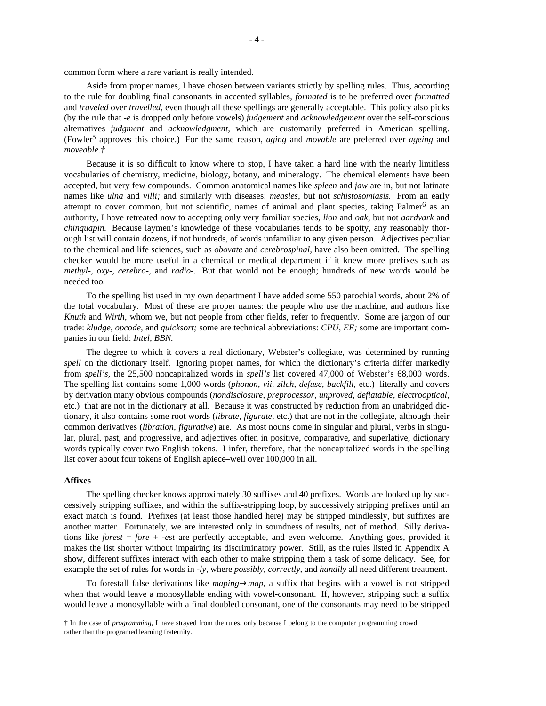common form where a rare variant is really intended.

Aside from proper names, I have chosen between variants strictly by spelling rules. Thus, according to the rule for doubling final consonants in accented syllables, *formated* is to be preferred over *formatted* and *traveled* over *travelled,* even though all these spellings are generally acceptable. This policy also picks (by the rule that *-e* is dropped only before vowels) *judgement* and *acknowledgement* over the self-conscious alternatives *judgment* and *acknowledgment,* which are customarily preferred in American spelling. (Fowler<sup>5</sup> approves this choice.) For the same reason, *aging* and *movable* are preferred over *ageing* and *moveable.†*

Because it is so difficult to know where to stop, I have taken a hard line with the nearly limitless vocabularies of chemistry, medicine, biology, botany, and mineralogy. The chemical elements have been accepted, but very few compounds. Common anatomical names like *spleen* and *jaw* are in, but not latinate names like *ulna* and *villi;* and similarly with diseases: *measles,* but not *schistosomiasis.* From an early attempt to cover common, but not scientific, names of animal and plant species, taking Palmer<sup>6</sup> as an authority, I have retreated now to accepting only very familiar species, *lion* and *oak,* but not *aardvark* and *chinquapin.* Because laymen's knowledge of these vocabularies tends to be spotty, any reasonably thorough list will contain dozens, if not hundreds, of words unfamiliar to any given person. Adjectives peculiar to the chemical and life sciences, such as *obovate* and *cerebrospinal,* have also been omitted. The spelling checker would be more useful in a chemical or medical department if it knew more prefixes such as *methyl-, oxy-, cerebro-,* and *radio-.* But that would not be enough; hundreds of new words would be needed too.

To the spelling list used in my own department I have added some 550 parochial words, about 2% of the total vocabulary. Most of these are proper names: the people who use the machine, and authors like *Knuth* and *Wirth,* whom we, but not people from other fields, refer to frequently. Some are jargon of our trade: *kludge, opcode,* and *quicksort;* some are technical abbreviations: *CPU, EE;* some are important companies in our field: *Intel, BBN.*

The degree to which it covers a real dictionary, Webster's collegiate, was determined by running *spell* on the dictionary itself. Ignoring proper names, for which the dictionary's criteria differ markedly from *spell's,* the 25,500 noncapitalized words in *spell's* list covered 47,000 of Webster's 68,000 words. The spelling list contains some 1,000 words (*phonon, vii, zilch, defuse, backfill,* etc.) literally and covers by derivation many obvious compounds (*nondisclosure, preprocessor, unproved, deflatable, electrooptical,* etc.) that are not in the dictionary at all. Because it was constructed by reduction from an unabridged dictionary, it also contains some root words (*librate, figurate,* etc.) that are not in the collegiate, although their common derivatives (*libration, figurative*) are. As most nouns come in singular and plural, verbs in singular, plural, past, and progressive, and adjectives often in positive, comparative, and superlative, dictionary words typically cover two English tokens. I infer, therefore, that the noncapitalized words in the spelling list cover about four tokens of English apiece–well over 100,000 in all.

## **Affixes**

 $\_$ 

The spelling checker knows approximately 30 suffixes and 40 prefixes. Words are looked up by successively stripping suffixes, and within the suffix-stripping loop, by successively stripping prefixes until an exact match is found. Prefixes (at least those handled here) may be stripped mindlessly, but suffixes are another matter. Fortunately, we are interested only in soundness of results, not of method. Silly derivations like *forest* = *fore* + *-est* are perfectly acceptable, and even welcome. Anything goes, provided it makes the list shorter without impairing its discriminatory power. Still, as the rules listed in Appendix A show, different suffixes interact with each other to make stripping them a task of some delicacy. See, for example the set of rules for words in *-ly,* where *possibly, correctly,* and *handily* all need different treatment.

To forestall false derivations like *maping*→*map,* a suffix that begins with a vowel is not stripped when that would leave a monosyllable ending with vowel-consonant. If, however, stripping such a suffix would leave a monosyllable with a final doubled consonant, one of the consonants may need to be stripped

<sup>†</sup> In the case of *programming,* I have strayed from the rules, only because I belong to the computer programming crowd rather than the programed learning fraternity.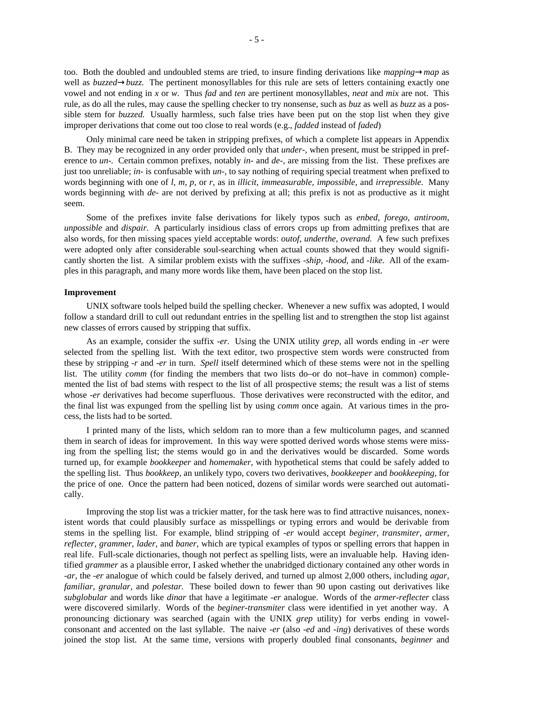too. Both the doubled and undoubled stems are tried, to insure finding derivations like *mapping*→*map* as well as *buzzed*→*buzz*. The pertinent monosyllables for this rule are sets of letters containing exactly one vowel and not ending in *x* or *w.* Thus *fad* and *ten* are pertinent monosyllables, *neat* and *mix* are not. This rule, as do all the rules, may cause the spelling checker to try nonsense, such as *buz* as well as *buzz* as a possible stem for *buzzed.* Usually harmless, such false tries have been put on the stop list when they give improper derivations that come out too close to real words (e.g., *fadded* instead of *faded*)

Only minimal care need be taken in stripping prefixes, of which a complete list appears in Appendix B. They may be recognized in any order provided only that *under-,* when present, must be stripped in preference to *un-.* Certain common prefixes, notably *in-* and *de-,* are missing from the list. These prefixes are just too unreliable; *in-* is confusable with *un-,* to say nothing of requiring special treatment when prefixed to words beginning with one of *l, m, p,* or *r,* as in *illicit, immeasurable, impossible,* and *irrepressible.* Many words beginning with *de-* are not derived by prefixing at all; this prefix is not as productive as it might seem.

Some of the prefixes invite false derivations for likely typos such as *enbed, forego, antiroom, unpossible* and *dispair.* A particularly insidious class of errors crops up from admitting prefixes that are also words, for then missing spaces yield acceptable words: *outof, underthe, overand.* A few such prefixes were adopted only after considerable soul-searching when actual counts showed that they would significantly shorten the list. A similar problem exists with the suffixes *-ship, -hood,* and *-like.* All of the examples in this paragraph, and many more words like them, have been placed on the stop list.

# **Improvement**

UNIX software tools helped build the spelling checker. Whenever a new suffix was adopted, I would follow a standard drill to cull out redundant entries in the spelling list and to strengthen the stop list against new classes of errors caused by stripping that suffix.

As an example, consider the suffix *-er.* Using the UNIX utility *grep,* all words ending in *-er* were selected from the spelling list. With the text editor, two prospective stem words were constructed from these by stripping *-r* and *-er* in turn. *Spell* itself determined which of these stems were not in the spelling list. The utility *comm* (for finding the members that two lists do–or do not–have in common) complemented the list of bad stems with respect to the list of all prospective stems; the result was a list of stems whose *-er* derivatives had become superfluous. Those derivatives were reconstructed with the editor, and the final list was expunged from the spelling list by using *comm* once again. At various times in the process, the lists had to be sorted.

I printed many of the lists, which seldom ran to more than a few multicolumn pages, and scanned them in search of ideas for improvement. In this way were spotted derived words whose stems were missing from the spelling list; the stems would go in and the derivatives would be discarded. Some words turned up, for example *bookkeeper* and *homemaker,* with hypothetical stems that could be safely added to the spelling list. Thus *bookkeep,* an unlikely typo, covers two derivatives, *bookkeeper* and *bookkeeping,* for the price of one. Once the pattern had been noticed, dozens of similar words were searched out automatically.

Improving the stop list was a trickier matter, for the task here was to find attractive nuisances, nonexistent words that could plausibly surface as misspellings or typing errors and would be derivable from stems in the spelling list. For example, blind stripping of *-er* would accept *beginer, transmiter, armer, reflecter, grammer, lader,* and *baner,* which are typical examples of typos or spelling errors that happen in real life. Full-scale dictionaries, though not perfect as spelling lists, were an invaluable help. Having identified *grammer* as a plausible error, I asked whether the unabridged dictionary contained any other words in *-ar,* the *-er* analogue of which could be falsely derived, and turned up almost 2,000 others, including *agar, familiar, granular,* and *polestar.* These boiled down to fewer than 90 upon casting out derivatives like *subglobular* and words like *dinar* that have a legitimate *-er* analogue. Words of the *armer-reflecter* class were discovered similarly. Words of the *beginer-transmiter* class were identified in yet another way. A pronouncing dictionary was searched (again with the UNIX *grep* utility) for verbs ending in vowelconsonant and accented on the last syllable. The naive *-er* (also *-ed* and *-ing*) derivatives of these words joined the stop list. At the same time, versions with properly doubled final consonants, *beginner* and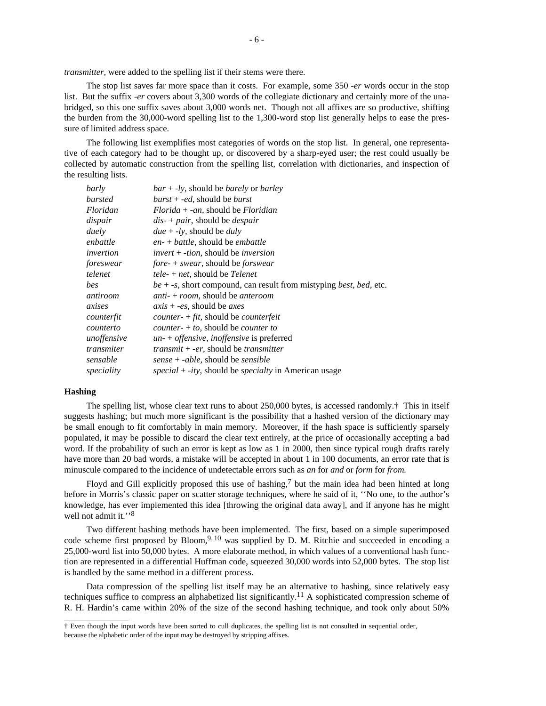*transmitter,* were added to the spelling list if their stems were there.

The stop list saves far more space than it costs. For example, some 350 *-er* words occur in the stop list. But the suffix *-er* covers about 3,300 words of the collegiate dictionary and certainly more of the unabridged, so this one suffix saves about 3,000 words net. Though not all affixes are so productive, shifting the burden from the 30,000-word spelling list to the 1,300-word stop list generally helps to ease the pressure of limited address space.

The following list exemplifies most categories of words on the stop list. In general, one representative of each category had to be thought up, or discovered by a sharp-eyed user; the rest could usually be collected by automatic construction from the spelling list, correlation with dictionaries, and inspection of the resulting lists.

| barly       | $bar + -ly$ , should be <i>barely</i> or <i>barley</i>                                |
|-------------|---------------------------------------------------------------------------------------|
| bursted     | $burst + -ed$ , should be <i>burst</i>                                                |
| Floridan    | $Florida + -an$ , should be Floridian                                                 |
| dispair     | $dis$ - + pair, should be <i>despair</i>                                              |
| duely       | $due + -ly$ , should be <i>duly</i>                                                   |
| enbattle    | $en - + battle$ , should be <i>embattle</i>                                           |
| invertion   | $invert + -tion$ , should be <i>inversion</i>                                         |
| foreswear   | $fore$ + swear, should be forswear                                                    |
| telenet     | tele- $+$ net, should be Telenet                                                      |
| bes         | $be + -s$ , short compound, can result from mistyping <i>best</i> , <i>bed</i> , etc. |
| antiroom    | <i>anti-</i> + <i>room</i> , should be <i>anteroom</i>                                |
| axises      | $axis + -es$ , should be <i>axes</i>                                                  |
| counterfit  | <i>counter-</i> $+ fit$ , should be <i>counterfeit</i>                                |
| counterto   | $counter + to$ , should be <i>counter to</i>                                          |
| unoffensive | $un-+$ offensive, inoffensive is preferred                                            |
| transmiter  | <i>transmit</i> $+$ -er, should be <i>transmitter</i>                                 |
| sensable    | sense + -able, should be sensible                                                     |
| speciality  | <i>special</i> + <i>-ity</i> , should be <i>specialty</i> in American usage           |

# **Hashing**

 $\_$ 

The spelling list, whose clear text runs to about 250,000 bytes, is accessed randomly.† This in itself suggests hashing; but much more significant is the possibility that a hashed version of the dictionary may be small enough to fit comfortably in main memory. Moreover, if the hash space is sufficiently sparsely populated, it may be possible to discard the clear text entirely, at the price of occasionally accepting a bad word. If the probability of such an error is kept as low as 1 in 2000, then since typical rough drafts rarely have more than 20 bad words, a mistake will be accepted in about 1 in 100 documents, an error rate that is minuscule compared to the incidence of undetectable errors such as *an* for *and* or *form* for *from.*

Floyd and Gill explicitly proposed this use of hashing,<sup>7</sup> but the main idea had been hinted at long before in Morris's classic paper on scatter storage techniques, where he said of it, ''No one, to the author's knowledge, has ever implemented this idea [throwing the original data away], and if anyone has he might well not admit it."<sup>8</sup>

Two different hashing methods have been implemented. The first, based on a simple superimposed code scheme first proposed by Bloom,<sup>9, 10</sup> was supplied by D. M. Ritchie and succeeded in encoding a 25,000-word list into 50,000 bytes. A more elaborate method, in which values of a conventional hash function are represented in a differential Huffman code, squeezed 30,000 words into 52,000 bytes. The stop list is handled by the same method in a different process.

Data compression of the spelling list itself may be an alternative to hashing, since relatively easy techniques suffice to compress an alphabetized list significantly.<sup>11</sup> A sophisticated compression scheme of R. H. Hardin's came within 20% of the size of the second hashing technique, and took only about 50%

<sup>†</sup> Even though the input words have been sorted to cull duplicates, the spelling list is not consulted in sequential order, because the alphabetic order of the input may be destroyed by stripping affixes.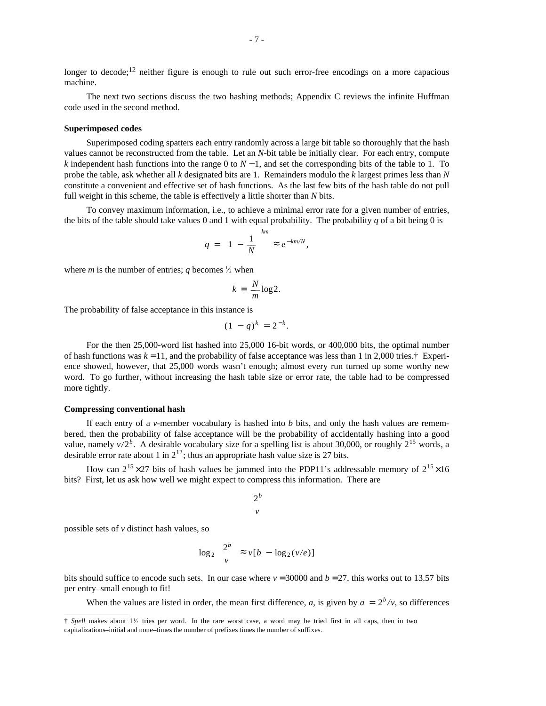longer to decode;<sup>12</sup> neither figure is enough to rule out such error-free encodings on a more capacious machine.

The next two sections discuss the two hashing methods; Appendix C reviews the infinite Huffman code used in the second method.

### **Superimposed codes**

Superimposed coding spatters each entry randomly across a large bit table so thoroughly that the hash values cannot be reconstructed from the table. Let an *N*-bit table be initially clear. For each entry, compute *k* independent hash functions into the range 0 to *N* − 1, and set the corresponding bits of the table to 1. To probe the table, ask whether all *k* designated bits are 1. Remainders modulo the *k* largest primes less than *N* constitute a convenient and effective set of hash functions. As the last few bits of the hash table do not pull full weight in this scheme, the table is effectively a little shorter than *N* bits.

To convey maximum information, i.e., to achieve a minimal error rate for a given number of entries, the bits of the table should take values 0 and 1 with equal probability. The probability  $q$  of a bit being 0 is

$$
q = \left[1 - \frac{1}{N}\right]^{km} \approx e^{-km/N},
$$

where *m* is the number of entries; *q* becomes  $\frac{1}{2}$  when

$$
k = \frac{N}{m} \log 2.
$$

The probability of false acceptance in this instance is

$$
(1 - q)^k = 2^{-k}.
$$

For the then 25,000-word list hashed into 25,000 16-bit words, or 400,000 bits, the optimal number of hash functions was  $k = 11$ , and the probability of false acceptance was less than 1 in 2,000 tries.<sup>†</sup> Experience showed, however, that 25,000 words wasn't enough; almost every run turned up some worthy new word. To go further, without increasing the hash table size or error rate, the table had to be compressed more tightly.

### **Compressing conventional hash**

If each entry of a *v*-member vocabulary is hashed into *b* bits, and only the hash values are remembered, then the probability of false acceptance will be the probability of accidentally hashing into a good value, namely  $v/2^b$ . A desirable vocabulary size for a spelling list is about 30,000, or roughly  $2^{15}$  words, a desirable error rate about 1 in  $2^{12}$ ; thus an appropriate hash value size is 27 bits.

How can  $2^{15} \times 27$  bits of hash values be jammed into the PDP11's addressable memory of  $2^{15} \times 16$ bits? First, let us ask how well we might expect to compress this information. There are

$$
\begin{bmatrix} 2^b \\ v \end{bmatrix}
$$

possible sets of *v* distinct hash values, so

 $\_$ 

$$
\log_2\left(\frac{2^b}{v}\right) \approx v[b - \log_2(v/e)]
$$

bits should suffice to encode such sets. In our case where  $v = 30000$  and  $b = 27$ , this works out to 13.57 bits per entry–small enough to fit!

When the values are listed in order, the mean first difference, *a*, is given by  $a = 2<sup>b</sup>/v$ , so differences

<sup>†</sup> *Spell* makes about 1<sup>1</sup> ⁄<sup>2</sup> tries per word. In the rare worst case, a word may be tried first in all caps, then in two capitalizations–initial and none–times the number of prefixes times the number of suffixes.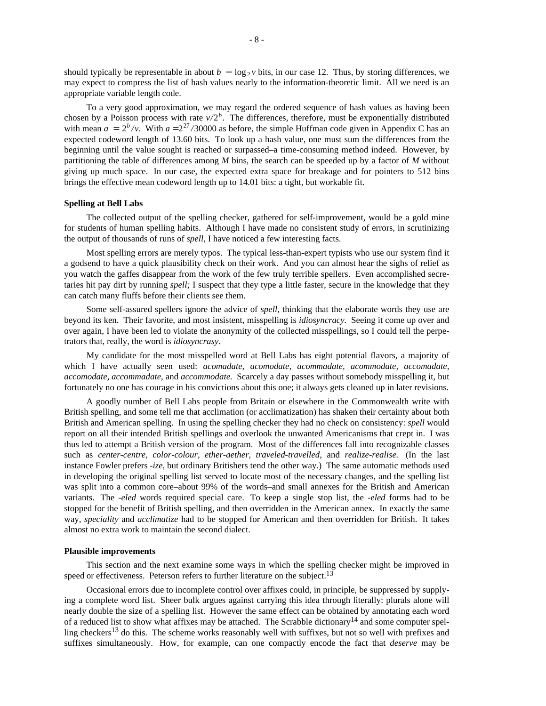should typically be representable in about  $b - \log_2 v$  bits, in our case 12. Thus, by storing differences, we may expect to compress the list of hash values nearly to the information-theoretic limit. All we need is an appropriate variable length code.

To a very good approximation, we may regard the ordered sequence of hash values as having been chosen by a Poisson process with rate  $v/2^b$ . The differences, therefore, must be exponentially distributed with mean  $a = 2^b/v$ . With  $a = 2^{27}/30000$  as before, the simple Huffman code given in Appendix C has an expected codeword length of 13.60 bits. To look up a hash value, one must sum the differences from the beginning until the value sought is reached or surpassed–a time-consuming method indeed. However, by partitioning the table of differences among *M* bins, the search can be speeded up by a factor of *M* without giving up much space. In our case, the expected extra space for breakage and for pointers to 512 bins brings the effective mean codeword length up to 14.01 bits: a tight, but workable fit.

## **Spelling at Bell Labs**

The collected output of the spelling checker, gathered for self-improvement, would be a gold mine for students of human spelling habits. Although I have made no consistent study of errors, in scrutinizing the output of thousands of runs of *spell,* I have noticed a few interesting facts.

Most spelling errors are merely typos. The typical less-than-expert typists who use our system find it a godsend to have a quick plausibility check on their work. And you can almost hear the sighs of relief as you watch the gaffes disappear from the work of the few truly terrible spellers. Even accomplished secretaries hit pay dirt by running *spell;* I suspect that they type a little faster, secure in the knowledge that they can catch many fluffs before their clients see them.

Some self-assured spellers ignore the advice of *spell,* thinking that the elaborate words they use are beyond its ken. Their favorite, and most insistent, misspelling is *idiosyncracy.* Seeing it come up over and over again, I have been led to violate the anonymity of the collected misspellings, so I could tell the perpetrators that, really, the word is *idiosyncrasy.*

My candidate for the most misspelled word at Bell Labs has eight potential flavors, a majority of which I have actually seen used: *acomadate, acomodate, acommadate, acommodate, accomadate, accomodate, accommadate,* and *accommodate.* Scarcely a day passes without somebody misspelling it, but fortunately no one has courage in his convictions about this one; it always gets cleaned up in later revisions.

A goodly number of Bell Labs people from Britain or elsewhere in the Commonwealth write with British spelling, and some tell me that acclimation (or acclimatization) has shaken their certainty about both British and American spelling. In using the spelling checker they had no check on consistency: *spell* would report on all their intended British spellings and overlook the unwanted Americanisms that crept in. I was thus led to attempt a British version of the program. Most of the differences fall into recognizable classes such as *center-centre, color-colour, ether-aether, traveled-travelled,* and *realize-realise.* (In the last instance Fowler prefers *-ize,* but ordinary Britishers tend the other way.) The same automatic methods used in developing the original spelling list served to locate most of the necessary changes, and the spelling list was split into a common core–about 99% of the words–and small annexes for the British and American variants. The *-eled* words required special care. To keep a single stop list, the *-eled* forms had to be stopped for the benefit of British spelling, and then overridden in the American annex. In exactly the same way, *speciality* and *acclimatize* had to be stopped for American and then overridden for British. It takes almost no extra work to maintain the second dialect.

### **Plausible improvements**

This section and the next examine some ways in which the spelling checker might be improved in speed or effectiveness. Peterson refers to further literature on the subject.<sup>13</sup>

Occasional errors due to incomplete control over affixes could, in principle, be suppressed by supplying a complete word list. Sheer bulk argues against carrying this idea through literally: plurals alone will nearly double the size of a spelling list. However the same effect can be obtained by annotating each word of a reduced list to show what affixes may be attached. The Scrabble dictionary<sup>14</sup> and some computer spelling checkers<sup>13</sup> do this. The scheme works reasonably well with suffixes, but not so well with prefixes and suffixes simultaneously. How, for example, can one compactly encode the fact that *deserve* may be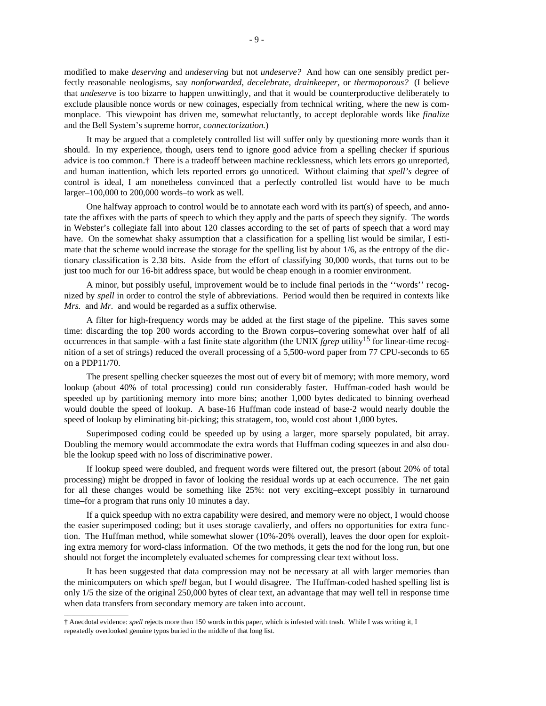modified to make *deserving* and *undeserving* but not *undeserve?* And how can one sensibly predict perfectly reasonable neologisms, say *nonforwarded, decelebrate, drainkeeper,* or *thermoporous?* (I believe that *undeserve* is too bizarre to happen unwittingly, and that it would be counterproductive deliberately to exclude plausible nonce words or new coinages, especially from technical writing, where the new is commonplace. This viewpoint has driven me, somewhat reluctantly, to accept deplorable words like *finalize* and the Bell System's supreme horror, *connectorization.*)

It may be argued that a completely controlled list will suffer only by questioning more words than it should. In my experience, though, users tend to ignore good advice from a spelling checker if spurious advice is too common.† There is a tradeoff between machine recklessness, which lets errors go unreported, and human inattention, which lets reported errors go unnoticed. Without claiming that *spell's* degree of control is ideal, I am nonetheless convinced that a perfectly controlled list would have to be much larger–100,000 to 200,000 words–to work as well.

One halfway approach to control would be to annotate each word with its part(s) of speech, and annotate the affixes with the parts of speech to which they apply and the parts of speech they signify. The words in Webster's collegiate fall into about 120 classes according to the set of parts of speech that a word may have. On the somewhat shaky assumption that a classification for a spelling list would be similar, I estimate that the scheme would increase the storage for the spelling list by about 1/6, as the entropy of the dictionary classification is 2.38 bits. Aside from the effort of classifying 30,000 words, that turns out to be just too much for our 16-bit address space, but would be cheap enough in a roomier environment.

A minor, but possibly useful, improvement would be to include final periods in the ''words'' recognized by *spell* in order to control the style of abbreviations. Period would then be required in contexts like *Mrs.* and *Mr.* and would be regarded as a suffix otherwise.

A filter for high-frequency words may be added at the first stage of the pipeline. This saves some time: discarding the top 200 words according to the Brown corpus–covering somewhat over half of all occurrences in that sample–with a fast finite state algorithm (the UNIX *fgrep* utility<sup>15</sup> for linear-time recognition of a set of strings) reduced the overall processing of a 5,500-word paper from 77 CPU-seconds to 65 on a PDP11/70.

The present spelling checker squeezes the most out of every bit of memory; with more memory, word lookup (about 40% of total processing) could run considerably faster. Huffman-coded hash would be speeded up by partitioning memory into more bins; another 1,000 bytes dedicated to binning overhead would double the speed of lookup. A base-16 Huffman code instead of base-2 would nearly double the speed of lookup by eliminating bit-picking; this stratagem, too, would cost about 1,000 bytes.

Superimposed coding could be speeded up by using a larger, more sparsely populated, bit array. Doubling the memory would accommodate the extra words that Huffman coding squeezes in and also double the lookup speed with no loss of discriminative power.

If lookup speed were doubled, and frequent words were filtered out, the presort (about 20% of total processing) might be dropped in favor of looking the residual words up at each occurrence. The net gain for all these changes would be something like 25%: not very exciting–except possibly in turnaround time–for a program that runs only 10 minutes a day.

If a quick speedup with no extra capability were desired, and memory were no object, I would choose the easier superimposed coding; but it uses storage cavalierly, and offers no opportunities for extra function. The Huffman method, while somewhat slower (10%-20% overall), leaves the door open for exploiting extra memory for word-class information. Of the two methods, it gets the nod for the long run, but one should not forget the incompletely evaluated schemes for compressing clear text without loss.

It has been suggested that data compression may not be necessary at all with larger memories than the minicomputers on which *spell* began, but I would disagree. The Huffman-coded hashed spelling list is only 1/5 the size of the original 250,000 bytes of clear text, an advantage that may well tell in response time when data transfers from secondary memory are taken into account.

 $\_$ 

<sup>†</sup> Anecdotal evidence: *spell* rejects more than 150 words in this paper, which is infested with trash. While I was writing it, I repeatedly overlooked genuine typos buried in the middle of that long list.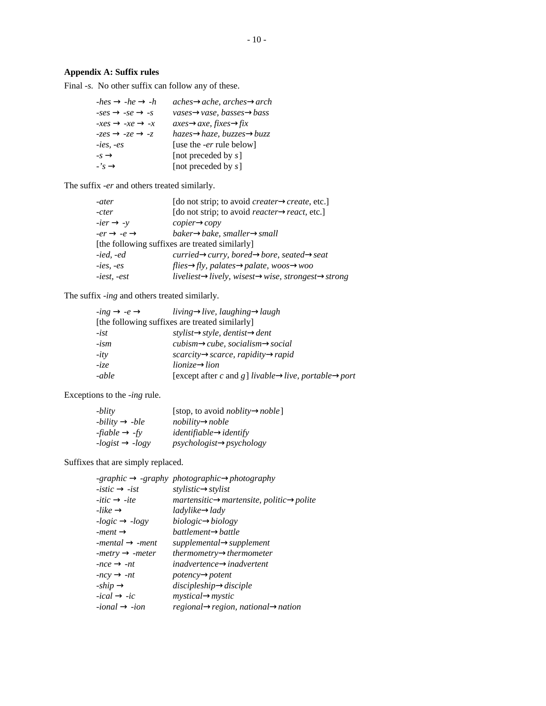# **Appendix A: Suffix rules**

Final *-s.* No other suffix can follow any of these.

| $-hes \rightarrow -he \rightarrow -h$ | $aches \rightarrow \alpha che$ , $arches \rightarrow \alpha rch$ |
|---------------------------------------|------------------------------------------------------------------|
| $-ses \rightarrow -se \rightarrow -s$ | vases→vase, basses→bass                                          |
| $-xes \rightarrow -xe \rightarrow -x$ | $axes \rightarrow$ axe, fixes $\rightarrow$ fix                  |
| $-zes \rightarrow -ze \rightarrow -z$ | $hazes \rightarrow haze, buzzes \rightarrow buzz.$               |
| $-ies$ , $-es$                        | [use the <i>-er</i> rule below]                                  |
| $-s \rightarrow$                      | [not preceded by $s$ ]                                           |
| $\cdot$ 's $\rightarrow$              | [not preceded by $s$ ]                                           |

The suffix *-er* and others treated similarly.

| -ater                            | [do not strip; to avoid <i>creater→create</i> , etc.]                         |
|----------------------------------|-------------------------------------------------------------------------------|
| -cter                            | [do not strip; to avoid reacter→react, etc.]                                  |
| $-ier \rightarrow -y$            | $co pier\rightarrow copv$                                                     |
| $-er \rightarrow -e \rightarrow$ | baker $\rightarrow$ bake, smaller $\rightarrow$ small                         |
|                                  | [the following suffixes are treated similarly]                                |
| $-ied$ . $-ed$                   | curried→curry, bored→bore, seated→seat                                        |
| $-ies$ , $-es$                   | flies $\rightarrow$ fly, palates $\rightarrow$ palate, woos $\rightarrow$ woo |
| $-iest, -est$                    | liveliest→lively, wisest→wise, strongest→strong                               |
|                                  |                                                                               |

The suffix *-ing* and others treated similarly.

| $-ing \rightarrow -e \rightarrow$ | living $\rightarrow$ live, laughing $\rightarrow$ laugh                        |
|-----------------------------------|--------------------------------------------------------------------------------|
|                                   | [the following suffixes are treated similarly]                                 |
| -ist                              | $style$ , $\rightarrow$ style, dentist $\rightarrow$ dent                      |
| -ism                              | $cubism \rightarrow cube, socialism \rightarrow social$                        |
| -ity                              | $scarcity \rightarrow \text{scarce}, \text{rapidity} \rightarrow \text{rapid}$ |
| -ize                              | $lionic \rightarrow lion$                                                      |
| -able                             | [except after c and g] livable $\rightarrow$ live, portable $\rightarrow$ port |

Exceptions to the *-ing* rule.

| -blity                     | [stop, to avoid <i>noblity</i> $\rightarrow$ <i>noble</i> ] |
|----------------------------|-------------------------------------------------------------|
| $-bility \rightarrow -ble$ | $nobility \rightarrow noble$                                |
| -fiable $\rightarrow$ -fy  | identity                                                    |
| $-logist \rightarrow-logy$ | $psychologist \rightarrow psychology$                       |

Suffixes that are simply replaced.

| -graphic $\rightarrow$ -graphy photographic $\rightarrow$ photography |
|-----------------------------------------------------------------------|
| $style\rightarrow$ stylistic $\rightarrow$ stylist                    |
| $martensitic \rightarrow martensite$ , politic $\rightarrow$ polite   |
| ladvlike→ladv                                                         |
| $biologic \rightarrow biology$                                        |
| $b$ attlement $\rightarrow$ battle                                    |
| $supplemental \rightarrow supplement$                                 |
| thermometry $\rightarrow$ thermometer                                 |
| inadvertence→inadvertent                                              |
| $potency \rightarrow potent$                                          |
| $discipleship \rightarrow disciple$                                   |
| $m$ <i>ystical</i> $\rightarrow$ <i>mystic</i>                        |
| regional-region, national-mation                                      |
|                                                                       |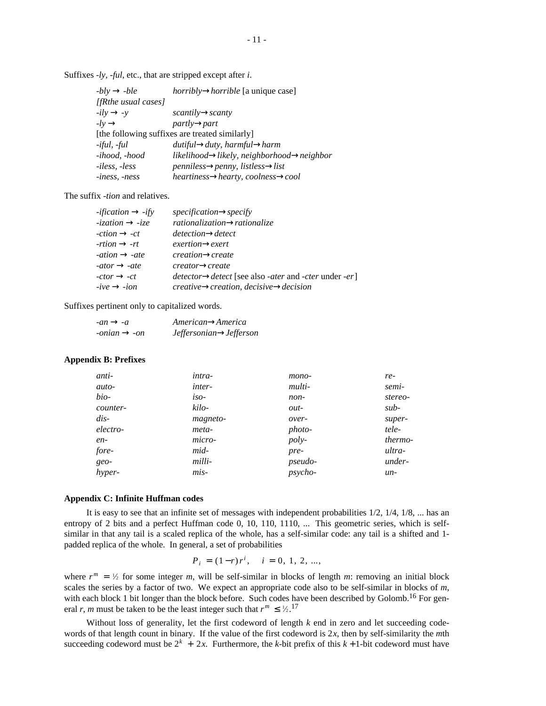| $-bly \rightarrow -ble$ | <i>horribly</i> $\rightarrow$ <i>horrible</i> [a unique case]        |
|-------------------------|----------------------------------------------------------------------|
| [fRthe usual cases]     |                                                                      |
| $-ily \rightarrow -y$   | $scantily \rightarrow scanty$                                        |
| $-lv \rightarrow$       | $partlv \rightarrow part$                                            |
|                         | [the following suffixes are treated similarly]                       |
| -iful, -ful             | $dutiful \rightarrow duty, \, harmful \rightarrow harm$              |
| -ihood, -hood           | likelihood $\rightarrow$ likely, neighborhood $\rightarrow$ neighbor |
| -iless, -less           | $penniless \rightarrow penny, listless \rightarrow list$             |
| <i>-iness, -ness</i>    | $heartiness \rightarrow hearty, coolness \rightarrow cool$           |

Suffixes *-ly, -ful*, etc., that are stripped except after *i*.

The suffix *-tion* and relatives.

| <i>-ification</i> $\rightarrow$ <i>-ify</i> | $specification \rightarrow specifv$                                  |
|---------------------------------------------|----------------------------------------------------------------------|
| $-ization \rightarrow -ize$                 | $rationalization \rightarrow rationalize$                            |
| $-ction \rightarrow -ct$                    | $detection \rightarrow detect$                                       |
| $-rtion \rightarrow -rt$                    | $exertion \rightarrow exert$                                         |
| -ation $\rightarrow$ -ate                   | $creation \rightarrow create$                                        |
| $-ator \rightarrow -ate$                    | $create \rightarrow create$                                          |
| $-ctor \rightarrow -ct$                     | $detector \rightarrow detector$ [see also -ater and -cter under -er] |
| $-ive \rightarrow -ion$                     | $create \rightarrow creation, decisive \rightarrow decision$         |

Suffixes pertinent only to capitalized words.

| $-an \rightarrow -a$     | $American \rightarrow America$       |  |  |
|--------------------------|--------------------------------------|--|--|
| $-onian \rightarrow -on$ | $Jeffersonian \rightarrow Jefferson$ |  |  |

## **Appendix B: Prefixes**

| intra-   | mono-          | re-     |
|----------|----------------|---------|
| inter-   | multi-         | semi-   |
| $iso-$   | non-           | stereo- |
| kilo-    | out-           | $sub-$  |
| magneto- | over-          | super-  |
| meta-    | photo-         | tele-   |
| micro-   | poly-          | thermo- |
| mid-     | pre-           | ultra-  |
| milli-   | <i>pseudo-</i> | under-  |
| mis-     | <i>psycho-</i> | $un-$   |
|          |                |         |

#### **Appendix C: Infinite Huffman codes**

It is easy to see that an infinite set of messages with independent probabilities  $1/2$ ,  $1/4$ ,  $1/8$ , ... has an entropy of 2 bits and a perfect Huffman code 0, 10, 110, 1110, ... This geometric series, which is selfsimilar in that any tail is a scaled replica of the whole, has a self-similar code: any tail is a shifted and 1 padded replica of the whole. In general, a set of probabilities

$$
P_i = (1 - r)r^i, \quad i = 0, 1, 2, ...,
$$

where  $r^m = \frac{1}{2}$  for some integer *m*, will be self-similar in blocks of length *m*: removing an initial block scales the series by a factor of two. We expect an appropriate code also to be self-similar in blocks of *m*, with each block 1 bit longer than the block before. Such codes have been described by Golomb.<sup>16</sup> For general *r*, *m* must be taken to be the least integer such that  $r^m \leq \frac{1}{2}$ .<sup>17</sup>

Without loss of generality, let the first codeword of length *k* end in zero and let succeeding codewords of that length count in binary. If the value of the first codeword is 2*x*, then by self-similarity the *m*th succeeding codeword must be  $2^k + 2x$ . Furthermore, the *k*-bit prefix of this  $k + 1$ -bit codeword must have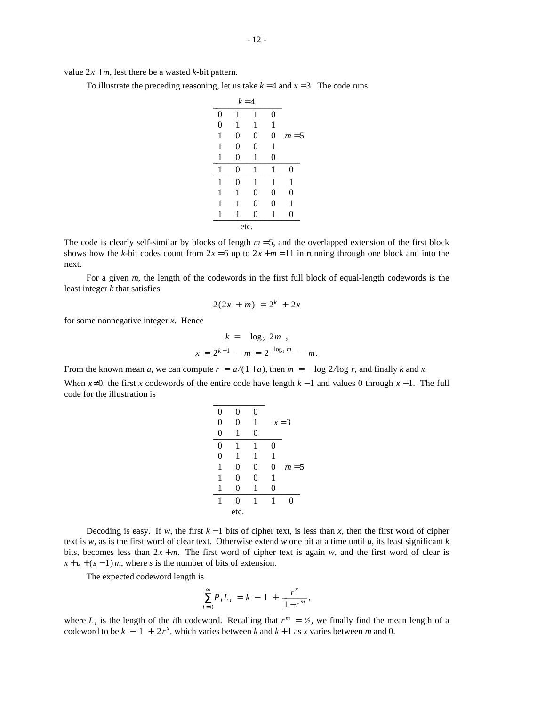value  $2x + m$ , lest there be a wasted *k*-bit pattern.

To illustrate the preceding reasoning, let us take  $k = 4$  and  $x = 3$ . The code runs

| $k = 4$          |   |   |   |       |  |
|------------------|---|---|---|-------|--|
| $\boldsymbol{0}$ | 1 | 1 | 0 |       |  |
| $\overline{0}$   | 1 | 1 | 1 |       |  |
| 1                | 0 | 0 | 0 | $m=5$ |  |
| 1                | 0 | 0 | 1 |       |  |
| 1                | 0 | 1 | 0 |       |  |
| 1                | 0 | 1 | 1 | 0     |  |
| 1                | 0 | 1 | 1 | 1     |  |
| 1                | 1 | 0 | 0 | 0     |  |
| 1                | 1 | 0 | 0 | 1     |  |
| 1                | 1 | 0 | 1 | 0     |  |
| etc.             |   |   |   |       |  |

The code is clearly self-similar by blocks of length  $m = 5$ , and the overlapped extension of the first block shows how the *k*-bit codes count from  $2x = 6$  up to  $2x + m = 11$  in running through one block and into the next.

For a given *m*, the length of the codewords in the first full block of equal-length codewords is the least integer *k* that satisfies

$$
2(2x + m) = 2^k + 2x
$$

for some nonnegative integer *x*. Hence

$$
k = |\log_2 2m|,
$$
  

$$
x = 2^{k-1} - m = 2^{\lceil \log_2 m \rceil} - m.
$$

From the known mean *a*, we can compute  $r = a/(1 + a)$ , then  $m = -\log 2/\log r$ , and finally *k* and *x*. When  $x \neq 0$ , the first *x* codewords of the entire code have length  $k - 1$  and values 0 through  $x - 1$ . The full code for the illustration is  $\mathcal{L} = \{ \mathcal{L} \}$ 

| 0 | 0    | 0        |         |       |
|---|------|----------|---------|-------|
| 0 | 0    | 1        | $x = 3$ |       |
| 0 | 1    | 0        |         |       |
| 0 | 1    |          | 0       |       |
| 0 | 1    | 1        | 1       |       |
|   | 0    | 0        | 0       | $m=5$ |
| 1 | 0    | $\theta$ | 1       |       |
|   | 0    |          | 0       |       |
|   | 0    |          |         | 0     |
|   | etc. |          |         |       |

Decoding is easy. If *w*, the first  $k-1$  bits of cipher text, is less than *x*, then the first word of cipher text is  $w$ , as is the first word of clear text. Otherwise extend  $w$  one bit at a time until  $u$ , its least significant  $k$ bits, becomes less than  $2x + m$ . The first word of cipher text is again *w*, and the first word of clear is  $x + u + (s - 1) m$ , where *s* is the number of bits of extension.

The expected codeword length is

$$
\sum_{i=0}^{\infty} P_i L_i = k - 1 + \frac{r^x}{1 - r^m},
$$

where  $L_i$  is the length of the *i*th codeword. Recalling that  $r^m = \frac{1}{2}$ , we finally find the mean length of a codeword to be  $k - 1 + 2r^x$ , which varies between  $k$  and  $k + 1$  as  $x$  varies between  $m$  and 0.